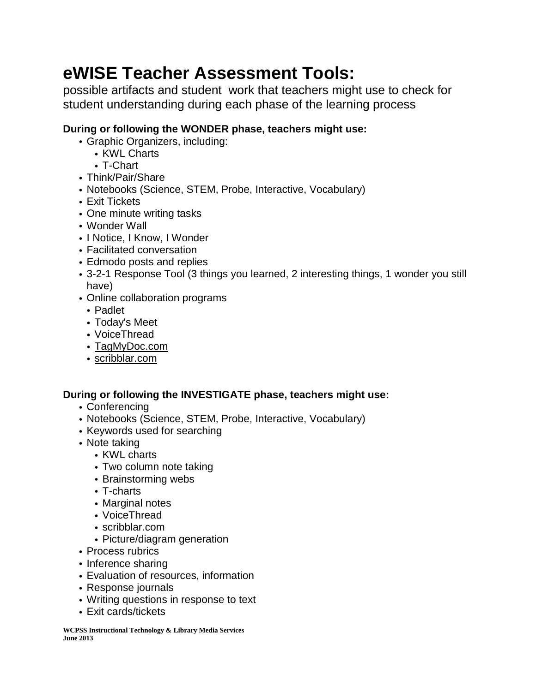# **eWISE Teacher Assessment Tools:**

possible artifacts and student work that teachers might use to check for student understanding during each phase of the learning process

## **During or following the WONDER phase, teachers might use:**

- Graphic Organizers, including:
	- KWL Charts
	- T-Chart
- Think/Pair/Share
- Notebooks (Science, STEM, Probe, Interactive, Vocabulary)
- Exit Tickets
- One minute writing tasks
- Wonder Wall
- I Notice, I Know, I Wonder
- Facilitated conversation
- Edmodo posts and replies
- 3-2-1 Response Tool (3 things you learned, 2 interesting things, 1 wonder you still have)
- Online collaboration programs
	- Padlet
	- Today's Meet
	- VoiceThread
	- [TagMyDoc.com](http://tagmydoc.com/)
	- [scribblar.com](http://scribblar.com/)

## **During or following the INVESTIGATE phase, teachers might use:**

- Conferencing
- Notebooks (Science, STEM, Probe, Interactive, Vocabulary)
- Keywords used for searching
- Note taking
	- KWL charts
	- Two column note taking
	- Brainstorming webs
	- T-charts
	- Marginal notes
	- VoiceThread
	- scribblar.com
	- Picture/diagram generation
- Process rubrics
- Inference sharing
- Evaluation of resources, information
- Response journals
- Writing questions in response to text
- Exit cards/tickets

**WCPSS Instructional Technology & Library Media Services June 2013**